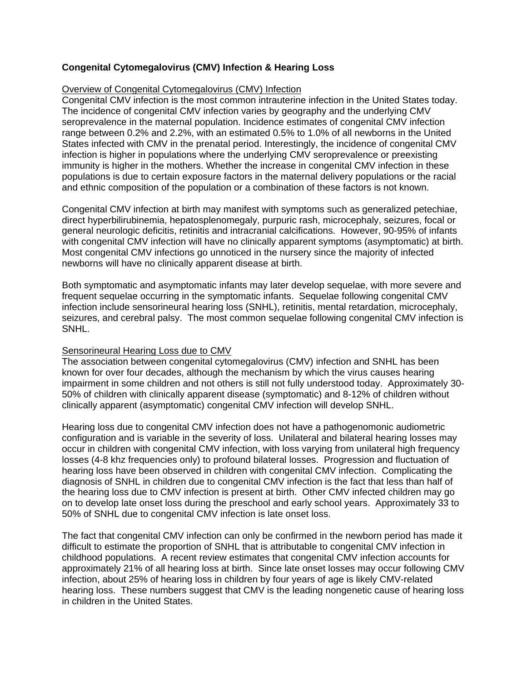# **Congenital Cytomegalovirus (CMV) Infection & Hearing Loss**

#### Overview of Congenital Cytomegalovirus (CMV) Infection

Congenital CMV infection is the most common intrauterine infection in the United States today. The incidence of congenital CMV infection varies by geography and the underlying CMV seroprevalence in the maternal population. Incidence estimates of congenital CMV infection range between 0.2% and 2.2%, with an estimated 0.5% to 1.0% of all newborns in the United States infected with CMV in the prenatal period. Interestingly, the incidence of congenital CMV infection is higher in populations where the underlying CMV seroprevalence or preexisting immunity is higher in the mothers. Whether the increase in congenital CMV infection in these populations is due to certain exposure factors in the maternal delivery populations or the racial and ethnic composition of the population or a combination of these factors is not known.

Congenital CMV infection at birth may manifest with symptoms such as generalized petechiae, direct hyperbilirubinemia, hepatosplenomegaly, purpuric rash, microcephaly, seizures, focal or general neurologic deficitis, retinitis and intracranial calcifications. However, 90-95% of infants with congenital CMV infection will have no clinically apparent symptoms (asymptomatic) at birth. Most congenital CMV infections go unnoticed in the nursery since the majority of infected newborns will have no clinically apparent disease at birth.

Both symptomatic and asymptomatic infants may later develop sequelae, with more severe and frequent sequelae occurring in the symptomatic infants. Sequelae following congenital CMV infection include sensorineural hearing loss (SNHL), retinitis, mental retardation, microcephaly, seizures, and cerebral palsy. The most common sequelae following congenital CMV infection is SNHL.

# Sensorineural Hearing Loss due to CMV

The association between congenital cytomegalovirus (CMV) infection and SNHL has been known for over four decades, although the mechanism by which the virus causes hearing impairment in some children and not others is still not fully understood today. Approximately 30- 50% of children with clinically apparent disease (symptomatic) and 8-12% of children without clinically apparent (asymptomatic) congenital CMV infection will develop SNHL.

Hearing loss due to congenital CMV infection does not have a pathogenomonic audiometric configuration and is variable in the severity of loss. Unilateral and bilateral hearing losses may occur in children with congenital CMV infection, with loss varying from unilateral high frequency losses (4-8 khz frequencies only) to profound bilateral losses. Progression and fluctuation of hearing loss have been observed in children with congenital CMV infection. Complicating the diagnosis of SNHL in children due to congenital CMV infection is the fact that less than half of the hearing loss due to CMV infection is present at birth. Other CMV infected children may go on to develop late onset loss during the preschool and early school years. Approximately 33 to 50% of SNHL due to congenital CMV infection is late onset loss.

The fact that congenital CMV infection can only be confirmed in the newborn period has made it difficult to estimate the proportion of SNHL that is attributable to congenital CMV infection in childhood populations. A recent review estimates that congenital CMV infection accounts for approximately 21% of all hearing loss at birth. Since late onset losses may occur following CMV infection, about 25% of hearing loss in children by four years of age is likely CMV-related hearing loss. These numbers suggest that CMV is the leading nongenetic cause of hearing loss in children in the United States.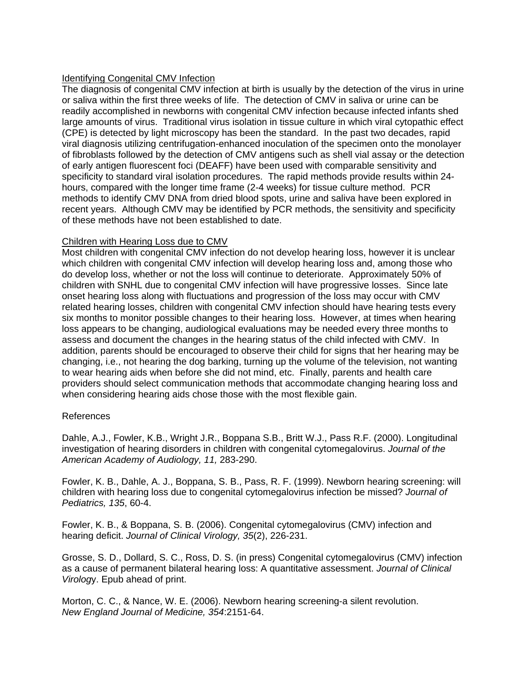# Identifying Congenital CMV Infection

The diagnosis of congenital CMV infection at birth is usually by the detection of the virus in urine or saliva within the first three weeks of life. The detection of CMV in saliva or urine can be readily accomplished in newborns with congenital CMV infection because infected infants shed large amounts of virus. Traditional virus isolation in tissue culture in which viral cytopathic effect (CPE) is detected by light microscopy has been the standard. In the past two decades, rapid viral diagnosis utilizing centrifugation-enhanced inoculation of the specimen onto the monolayer of fibroblasts followed by the detection of CMV antigens such as shell vial assay or the detection of early antigen fluorescent foci (DEAFF) have been used with comparable sensitivity and specificity to standard viral isolation procedures. The rapid methods provide results within 24 hours, compared with the longer time frame (2-4 weeks) for tissue culture method. PCR methods to identify CMV DNA from dried blood spots, urine and saliva have been explored in recent years. Although CMV may be identified by PCR methods, the sensitivity and specificity of these methods have not been established to date.

## Children with Hearing Loss due to CMV

Most children with congenital CMV infection do not develop hearing loss, however it is unclear which children with congenital CMV infection will develop hearing loss and, among those who do develop loss, whether or not the loss will continue to deteriorate. Approximately 50% of children with SNHL due to congenital CMV infection will have progressive losses. Since late onset hearing loss along with fluctuations and progression of the loss may occur with CMV related hearing losses, children with congenital CMV infection should have hearing tests every six months to monitor possible changes to their hearing loss. However, at times when hearing loss appears to be changing, audiological evaluations may be needed every three months to assess and document the changes in the hearing status of the child infected with CMV. In addition, parents should be encouraged to observe their child for signs that her hearing may be changing, i.e., not hearing the dog barking, turning up the volume of the television, not wanting to wear hearing aids when before she did not mind, etc. Finally, parents and health care providers should select communication methods that accommodate changing hearing loss and when considering hearing aids chose those with the most flexible gain.

## References

Dahle, A.J., Fowler, K.B., Wright J.R., Boppana S.B., Britt W.J., Pass R.F. (2000). Longitudinal investigation of hearing disorders in children with congenital cytomegalovirus. *Journal of the American Academy of Audiology, 11,* 283-290.

Fowler, K. B., Dahle, A. J., Boppana, S. B., Pass, R. F. (1999). Newborn hearing screening: will children with hearing loss due to congenital cytomegalovirus infection be missed? *Journal of Pediatrics, 135*, 60-4.

Fowler, K. B., & Boppana, S. B. (2006). Congenital cytomegalovirus (CMV) infection and hearing deficit. *Journal of Clinical Virology, 35*(2), 226-231.

Grosse, S. D., Dollard, S. C., Ross, D. S. (in press) Congenital cytomegalovirus (CMV) infection as a cause of permanent bilateral hearing loss: A quantitative assessment. *Journal of Clinical Virolog*y. Epub ahead of print.

Morton, C. C., & Nance, W. E. (2006). Newborn hearing screening-a silent revolution. *New England Journal of Medicine, 354*:2151-64.